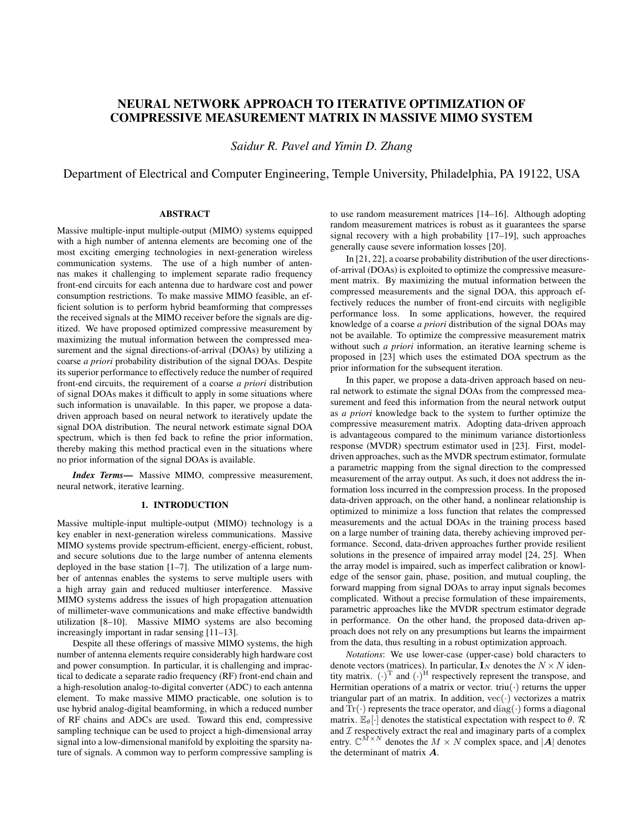# NEURAL NETWORK APPROACH TO ITERATIVE OPTIMIZATION OF COMPRESSIVE MEASUREMENT MATRIX IN MASSIVE MIMO SYSTEM

*Saidur R. Pavel and Yimin D. Zhang*

Department of Electrical and Computer Engineering, Temple University, Philadelphia, PA 19122, USA

# ABSTRACT

Massive multiple-input multiple-output (MIMO) systems equipped with a high number of antenna elements are becoming one of the most exciting emerging technologies in next-generation wireless communication systems. The use of a high number of antennas makes it challenging to implement separate radio frequency front-end circuits for each antenna due to hardware cost and power consumption restrictions. To make massive MIMO feasible, an efficient solution is to perform hybrid beamforming that compresses the received signals at the MIMO receiver before the signals are digitized. We have proposed optimized compressive measurement by maximizing the mutual information between the compressed measurement and the signal directions-of-arrival (DOAs) by utilizing a coarse *a priori* probability distribution of the signal DOAs. Despite its superior performance to effectively reduce the number of required front-end circuits, the requirement of a coarse *a priori* distribution of signal DOAs makes it difficult to apply in some situations where such information is unavailable. In this paper, we propose a datadriven approach based on neural network to iteratively update the signal DOA distribution. The neural network estimate signal DOA spectrum, which is then fed back to refine the prior information, thereby making this method practical even in the situations where no prior information of the signal DOAs is available.

*Index Terms*— Massive MIMO, compressive measurement, neural network, iterative learning.

## 1. INTRODUCTION

Massive multiple-input multiple-output (MIMO) technology is a key enabler in next-generation wireless communications. Massive MIMO systems provide spectrum-efficient, energy-efficient, robust, and secure solutions due to the large number of antenna elements deployed in the base station [1–7]. The utilization of a large number of antennas enables the systems to serve multiple users with a high array gain and reduced multiuser interference. Massive MIMO systems address the issues of high propagation attenuation of millimeter-wave communications and make effective bandwidth utilization [8–10]. Massive MIMO systems are also becoming increasingly important in radar sensing [11–13].

Despite all these offerings of massive MIMO systems, the high number of antenna elements require considerably high hardware cost and power consumption. In particular, it is challenging and impractical to dedicate a separate radio frequency (RF) front-end chain and a high-resolution analog-to-digital converter (ADC) to each antenna element. To make massive MIMO practicable, one solution is to use hybrid analog-digital beamforming, in which a reduced number of RF chains and ADCs are used. Toward this end, compressive sampling technique can be used to project a high-dimensional array signal into a low-dimensional manifold by exploiting the sparsity nature of signals. A common way to perform compressive sampling is

to use random measurement matrices [14–16]. Although adopting random measurement matrices is robust as it guarantees the sparse signal recovery with a high probability [17–19], such approaches generally cause severe information losses [20].

In [21, 22], a coarse probability distribution of the user directionsof-arrival (DOAs) is exploited to optimize the compressive measurement matrix. By maximizing the mutual information between the compressed measurements and the signal DOA, this approach effectively reduces the number of front-end circuits with negligible performance loss. In some applications, however, the required knowledge of a coarse *a priori* distribution of the signal DOAs may not be available. To optimize the compressive measurement matrix without such *a priori* information, an iterative learning scheme is proposed in [23] which uses the estimated DOA spectrum as the prior information for the subsequent iteration.

In this paper, we propose a data-driven approach based on neural network to estimate the signal DOAs from the compressed measurement and feed this information from the neural network output as *a priori* knowledge back to the system to further optimize the compressive measurement matrix. Adopting data-driven approach is advantageous compared to the minimum variance distortionless response (MVDR) spectrum estimator used in [23]. First, modeldriven approaches, such as the MVDR spectrum estimator, formulate a parametric mapping from the signal direction to the compressed measurement of the array output. As such, it does not address the information loss incurred in the compression process. In the proposed data-driven approach, on the other hand, a nonlinear relationship is optimized to minimize a loss function that relates the compressed measurements and the actual DOAs in the training process based on a large number of training data, thereby achieving improved performance. Second, data-driven approaches further provide resilient solutions in the presence of impaired array model [24, 25]. When the array model is impaired, such as imperfect calibration or knowledge of the sensor gain, phase, position, and mutual coupling, the forward mapping from signal DOAs to array input signals becomes complicated. Without a precise formulation of these impairements, parametric approaches like the MVDR spectrum estimator degrade in performance. On the other hand, the proposed data-driven approach does not rely on any presumptions but learns the impairment from the data, thus resulting in a robust optimization approach.

*Notations*: We use lower-case (upper-case) bold characters to denote vectors (matrices). In particular,  $\mathbf{I}_N$  denotes the  $N \times N$  identity matrix.  $(\cdot)^T$  and  $(\cdot)^H$  respectively represent the transpose, and Hermitian operations of a matrix or vector.  $triu(\cdot)$  returns the upper triangular part of an matrix. In addition,  $vec(\cdot)$  vectorizes a matrix and  $\text{Tr}(\cdot)$  represents the trace operator, and  $\text{diag}(\cdot)$  forms a diagonal matrix.  $\mathbb{E}_{\theta}[\cdot]$  denotes the statistical expectation with respect to  $\theta$ .  $\mathcal{R}$ and  $\mathcal I$  respectively extract the real and imaginary parts of a complex entry.  $\mathbb{C}^{\tilde{M} \times N}$  denotes the  $M \times N$  complex space, and  $|A|$  denotes the determinant of matrix A.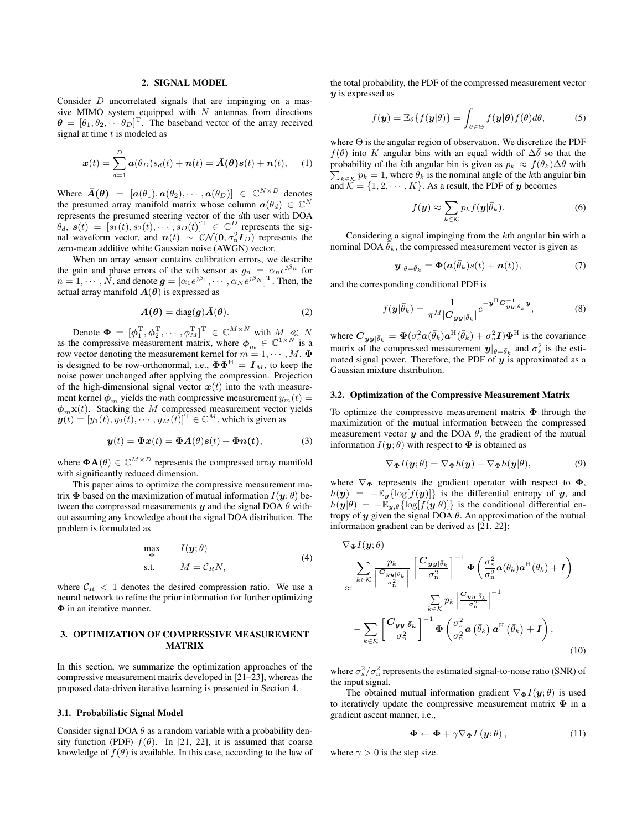#### 2. SIGNAL MODEL

Consider D uncorrelated signals that are impinging on a massive MIMO system equipped with  $N$  antennas from directions  $\boldsymbol{\theta} = [\theta_1, \theta_2, \cdots \theta_D]^\text{T}$ . The baseband vector of the array received signal at time  $t$  is modeled as

$$
\boldsymbol{x}(t) = \sum_{d=1}^{D} \boldsymbol{a}(\theta_D) s_d(t) + \boldsymbol{n}(t) = \bar{\boldsymbol{A}}(\boldsymbol{\theta}) \boldsymbol{s}(t) + \boldsymbol{n}(t), \quad (1)
$$

Where  $\bar{A}(\theta) = [a(\theta_1), a(\theta_2), \cdots, a(\theta_D)] \in \mathbb{C}^{N \times D}$  denotes the presumed array manifold matrix whose column  $\boldsymbol{a}(\theta_d) \in \mathbb{C}^N$ represents the presumed steering vector of the dth user with DOA  $\theta_d$ ,  $s(t) = [s_1(t), s_2(t), \cdots, s_D(t)]^T \in \mathbb{C}^D$  represents the signal waveform vector, and  $n(t) \sim \mathcal{CN}(\mathbf{0}, \sigma_n^2 \mathbf{I}_D)$  represents the zero-mean additive white Gaussian noise (AWGN) vector.

When an array sensor contains calibration errors, we describe the gain and phase errors of the *n*th sensor as  $g_n = \alpha_n e^{\jmath \beta_n}$  for  $n=1,\cdots,\tilde{N}$ , and denote  $\boldsymbol{g}=[\alpha_1e^{\jmath\beta_1},\cdots,\alpha_Ne^{\jmath\beta_N}]^{\mathrm{T}}$ . Then, the actual array manifold  $A(\theta)$  is expressed as

$$
A(\theta) = \text{diag}(g)\bar{A}(\theta). \tag{2}
$$

Denote  $\mathbf{\Phi} = [\phi_1^{\mathrm{T}}, \phi_2^{\mathrm{T}}, \cdots, \phi_M^{\mathrm{T}}]^{\mathrm{T}} \in \mathbb{C}^{M \times N}$  with  $M \ll N$ as the compressive measurement matrix, where  $\phi_m \in \mathbb{C}^{1 \times N}$  is a row vector denoting the measurement kernel for  $m = 1, \dots, M$ . is designed to be row-orthonormal, i.e.,  $\Phi \Phi^H = I_M$ , to keep the noise power unchanged after applying the compression. Projection of the high-dimensional signal vector  $x(t)$  into the mth measurement kernel  $\phi_m$  yields the mth compressive measurement  $y_m(t)$  =  $\phi_m\mathbf{x}(t)$ . Stacking the M compressed measurement vector yields  $y(t) = [y_1(t), y_2(t), \cdots, y_M(t)]^T \in \mathbb{C}^M$ , which is given as

$$
\mathbf{y}(t) = \mathbf{\Phi}\mathbf{x}(t) = \mathbf{\Phi}\mathbf{A}(\theta)\mathbf{s}(t) + \mathbf{\Phi}\mathbf{n}(t), \tag{3}
$$

where  $\mathbf{\Phi} \mathbf{A}(\theta) \in \mathbb{C}^{M \times D}$  represents the compressed array manifold with significantly reduced dimension.

This paper aims to optimize the compressive measurement matrix  $\Phi$  based on the maximization of mutual information  $I(\mathbf{y}; \theta)$  between the compressed measurements  $\boldsymbol{\psi}$  and the signal DOA  $\theta$  without assuming any knowledge about the signal DOA distribution. The problem is formulated as

$$
\max_{\Phi} I(\mathbf{y}; \theta) \tag{4}
$$
  
s.t. 
$$
M = C_R N,
$$

where  $C_R < 1$  denotes the desired compression ratio. We use a neural network to refine the prior information for further optimizing Φ in an iterative manner.

# 3. OPTIMIZATION OF COMPRESSIVE MEASUREMENT MATRIX

In this section, we summarize the optimization approaches of the compressive measurement matrix developed in [21–23], whereas the proposed data-driven iterative learning is presented in Section 4.

## 3.1. Probabilistic Signal Model

Consider signal DOA  $\theta$  as a random variable with a probability density function (PDF)  $f(\theta)$ . In [21, 22], it is assumed that coarse knowledge of  $f(\theta)$  is available. In this case, according to the law of the total probability, the PDF of the compressed measurement vector  $y$  is expressed as

$$
f(\mathbf{y}) = \mathbb{E}_{\theta} \{ f(\mathbf{y}|\theta) \} = \int_{\theta \in \Theta} f(\mathbf{y}|\theta) f(\theta) d\theta, \tag{5}
$$

where  $\Theta$  is the angular region of observation. We discretize the PDF  $f(\theta)$  into K angular bins with an equal width of  $\Delta\bar{\theta}$  so that the probability of the kth angular bin is given as  $p_k \approx f(\bar{\theta}_k) \Delta \bar{\theta}$  with  $\sum_{k \in \mathcal{K}} p_k = 1$ , where  $\bar{\theta}_k$  is the nominal angle of the *k*th angular bin and  $\widehat{K} = \{1, 2, \dots, K\}$ . As a result, the PDF of y becomes

$$
f(\mathbf{y}) \approx \sum_{k \in \mathcal{K}} p_k f(\mathbf{y} | \bar{\theta}_k).
$$
 (6)

Considering a signal impinging from the kth angular bin with a nominal DOA  $\bar{\theta}_k$ , the compressed measurement vector is given as

$$
\boldsymbol{y}|_{\theta=\bar{\theta}_k} = \boldsymbol{\Phi}(\boldsymbol{a}(\bar{\theta}_k)s(t)+\boldsymbol{n}(t)),\tag{7}
$$

and the corresponding conditional PDF is

$$
f(\mathbf{y}|\bar{\theta}_k) = \frac{1}{\pi^M |\mathbf{C}_{\mathbf{y}\mathbf{y}|\bar{\theta}_k}|} e^{-\mathbf{y}^{\mathrm{H}} \mathbf{C}_{\mathbf{y}\mathbf{y}|\bar{\theta}_k}^{-1} \mathbf{y}},
$$
(8)

where  $C_{yy|\bar{\theta}_k} = \Phi(\sigma_s^2 \mathbf{a}(\bar{\theta}_k) \mathbf{a}^{\text{H}}(\bar{\theta}_k) + \sigma_n^2 \mathbf{I}) \Phi^{\text{H}}$  is the covariance matrix of the compressed measurement  $y|_{\theta=\bar{\theta}_k}$  and  $\sigma_s^2$  is the estimated signal power. Therefore, the PDF of  $y$  is approximated as a Gaussian mixture distribution.

#### 3.2. Optimization of the Compressive Measurement Matrix

To optimize the compressive measurement matrix  $\Phi$  through the maximization of the mutual information between the compressed measurement vector  $y$  and the DOA  $\theta$ , the gradient of the mutual information  $I(\mathbf{y}; \theta)$  with respect to  $\mathbf{\Phi}$  is obtained as

$$
\nabla_{\mathbf{\Phi}} I(\mathbf{y}; \theta) = \nabla_{\mathbf{\Phi}} h(\mathbf{y}) - \nabla_{\mathbf{\Phi}} h(\mathbf{y}|\theta), \tag{9}
$$

where  $\nabla_{\Phi}$  represents the gradient operator with respect to  $\Phi$ ,  $h(\mathbf{y}) = -\mathbb{E}_{\mathbf{y}}\{\log[f(\mathbf{y})]\}\$ is the differential entropy of  $\mathbf{y}$ , and  $h(\mathbf{y}|\theta) = -\mathbb{E}_{\mathbf{y},\theta} \{ \log[f(\mathbf{y}|\theta)] \}$  is the conditional differential entropy of  $y$  given the signal DOA  $\theta$ . An approximation of the mutual information gradient can be derived as [21, 22]:

$$
\nabla_{\Phi} I(\mathbf{y}; \theta) \n\approx \frac{\sum_{k \in \mathcal{K}} \frac{p_k}{\left| \frac{C_{\mathbf{y}\mathbf{y} | \vec{\theta}_k}{\sigma_n^2} \right|}} \left[ \frac{C_{\mathbf{y}\mathbf{y} | \vec{\theta}_k}}{\sigma_n^2} \right]^{-1} \Phi \left( \frac{\sigma_s^2}{\sigma_n^2} \mathbf{a}(\bar{\theta}_k) \mathbf{a}^{\mathrm{H}}(\bar{\theta}_k) + \mathbf{I} \right) \n\approx \frac{\sum_{k \in \mathcal{K}} p_k \left| \frac{C_{\mathbf{y}\mathbf{y} | \vec{\theta}_k}}{\sigma_n^2} \right|^{-1}}{\sum_{k \in \mathcal{K}} p_k \left| \frac{\sigma_s^2}{\sigma_n^2} \mathbf{a}(\bar{\theta}_k) \mathbf{a}^{\mathrm{H}}(\bar{\theta}_k) + \mathbf{I} \right),
$$
\n(10)

where  $\sigma_s^2/\sigma_n^2$  represents the estimated signal-to-noise ratio (SNR) of the input signal.

The obtained mutual information gradient  $\nabla_{\Phi} I(\mathbf{y}; \theta)$  is used to iteratively update the compressive measurement matrix  $\Phi$  in a gradient ascent manner, i.e.,

$$
\mathbf{\Phi} \leftarrow \mathbf{\Phi} + \gamma \nabla_{\mathbf{\Phi}} I\left(\mathbf{y}; \theta\right),\tag{11}
$$

where  $\gamma > 0$  is the step size.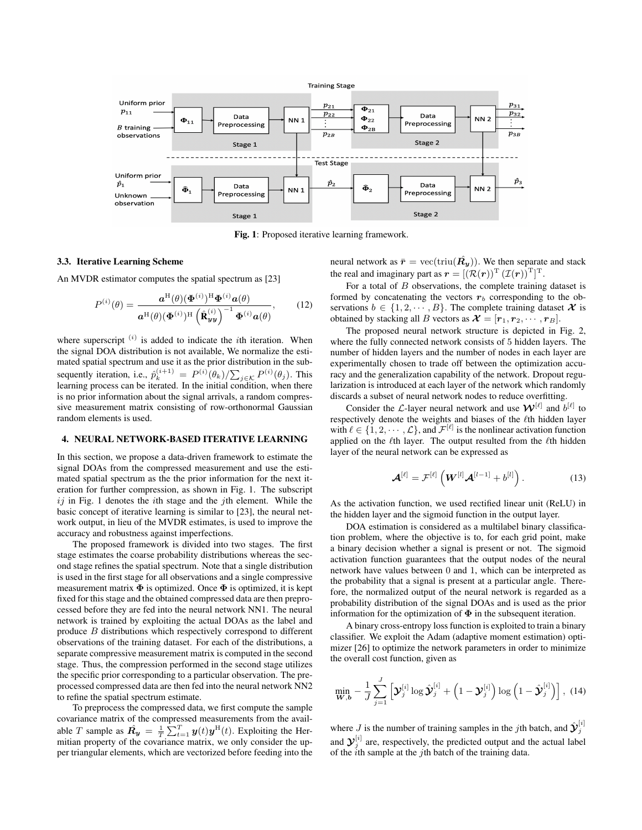

Fig. 1: Proposed iterative learning framework.

#### 3.3. Iterative Learning Scheme

An MVDR estimator computes the spatial spectrum as [23]

$$
P^{(i)}(\theta) = \frac{\mathbf{a}^{\mathrm{H}}(\theta)(\mathbf{\Phi}^{(i)})^{\mathrm{H}}\mathbf{\Phi}^{(i)}\mathbf{a}(\theta)}{\mathbf{a}^{\mathrm{H}}(\theta)(\mathbf{\Phi}^{(i)})^{\mathrm{H}}(\hat{\mathbf{R}}_{yy}^{(i)})^{-1}\mathbf{\Phi}^{(i)}\mathbf{a}(\theta)},
$$
(12)

where superscript  $(i)$  is added to indicate the *i*th iteration. When the signal DOA distribution is not available, We normalize the estimated spatial spectrum and use it as the prior distribution in the subsequently iteration, i.e.,  $\hat{p}_k^{(i+1)} = P^{(i)}(\theta_k)/\sum_{j \in \mathcal{K}} P^{(i)}(\theta_j)$ . This learning process can be iterated. In the initial condition, when there is no prior information about the signal arrivals, a random compressive measurement matrix consisting of row-orthonormal Gaussian random elements is used.

## 4. NEURAL NETWORK-BASED ITERATIVE LEARNING

In this section, we propose a data-driven framework to estimate the signal DOAs from the compressed measurement and use the estimated spatial spectrum as the the prior information for the next iteration for further compression, as shown in Fig. 1. The subscript  $ij$  in Fig. 1 denotes the *i*th stage and the *j*th element. While the basic concept of iterative learning is similar to [23], the neural network output, in lieu of the MVDR estimates, is used to improve the accuracy and robustness against imperfections.

The proposed framework is divided into two stages. The first stage estimates the coarse probability distributions whereas the second stage refines the spatial spectrum. Note that a single distribution is used in the first stage for all observations and a single compressive measurement matrix  $\Phi$  is optimized. Once  $\Phi$  is optimized, it is kept fixed for this stage and the obtained compressed data are then preprocessed before they are fed into the neural network NN1. The neural network is trained by exploiting the actual DOAs as the label and produce B distributions which respectively correspond to different observations of the training dataset. For each of the distributions, a separate compressive measurement matrix is computed in the second stage. Thus, the compression performed in the second stage utilizes the specific prior corresponding to a particular observation. The preprocessed compressed data are then fed into the neural network NN2 to refine the spatial spectrum estimate.

To preprocess the compressed data, we first compute the sample covariance matrix of the compressed measurements from the available T sample as  $\mathbf{R_y} = \frac{1}{T} \sum_{t=1}^{T} \mathbf{y}(t) \mathbf{y}^{\text{H}}(t)$ . Exploiting the Hermitian property of the covariance matrix, we only consider the upper triangular elements, which are vectorized before feeding into the

neural network as  $\bar{r} = \text{vec}(\text{triu}(\hat{R_y}))$ . We then separate and stack the real and imaginary part as  $\mathbf{r} = [(\mathcal{R}(\mathbf{r}))^{\mathrm{T}} (\mathcal{I}(\mathbf{r}))^{\mathrm{T}}]^{\mathrm{T}}$ .

For a total of  $B$  observations, the complete training dataset is formed by concatenating the vectors  $r<sub>b</sub>$  corresponding to the observations  $b \in \{1, 2, \dots, B\}$ . The complete training dataset  $\mathcal X$  is obtained by stacking all B vectors as  $\mathcal{X} = [\mathbf{r}_1, \mathbf{r}_2, \cdots, \mathbf{r}_B].$ 

The proposed neural network structure is depicted in Fig. 2, where the fully connected network consists of 5 hidden layers. The number of hidden layers and the number of nodes in each layer are experimentally chosen to trade off between the optimization accuracy and the generalization capability of the network. Dropout regularization is introduced at each layer of the network which randomly discards a subset of neural network nodes to reduce overfitting.

Consider the *L*-layer neural network and use  $\mathcal{W}^{[\ell]}$  and  $b^{[\ell]}$  to respectively denote the weights and biases of the ℓth hidden layer with  $\ell \in \{1, 2, \dots, \mathcal{L}\}\$ , and  $\mathcal{F}^{[\ell]}$  is the nonlinear activation function applied on the  $\ell$ th layer. The output resulted from the  $\ell$ th hidden layer of the neural network can be expressed as

$$
\boldsymbol{\mathcal{A}}^{[\ell]} = \mathcal{F}^{[\ell]} \left( \boldsymbol{W}^{[l]} \boldsymbol{\mathcal{A}}^{[l-1]} + b^{[l]} \right). \tag{13}
$$

As the activation function, we used rectified linear unit (ReLU) in the hidden layer and the sigmoid function in the output layer.

DOA estimation is considered as a multilabel binary classification problem, where the objective is to, for each grid point, make a binary decision whether a signal is present or not. The sigmoid activation function guarantees that the output nodes of the neural network have values between 0 and 1, which can be interpreted as the probability that a signal is present at a particular angle. Therefore, the normalized output of the neural network is regarded as a probability distribution of the signal DOAs and is used as the prior information for the optimization of  $\Phi$  in the subsequent iteration.

A binary cross-entropy loss function is exploited to train a binary classifier. We exploit the Adam (adaptive moment estimation) optimizer [26] to optimize the network parameters in order to minimize the overall cost function, given as

$$
\min_{\boldsymbol{W},\boldsymbol{b}} -\frac{1}{J} \sum_{j=1}^{J} \left[ \boldsymbol{\mathcal{Y}}_j^{[i]} \log \hat{\boldsymbol{\mathcal{Y}}}_j^{[i]} + \left( 1 - \boldsymbol{\mathcal{Y}}_j^{[i]} \right) \log \left( 1 - \hat{\boldsymbol{\mathcal{Y}}}_j^{[i]} \right) \right], (14)
$$

where *J* is the number of training samples in the *j*th batch, and  $\hat{\mathbf{y}}_j^{[i]}$ and  $\mathcal{Y}_j^{[i]}$  are, respectively, the predicted output and the actual label of the  $\ddot{i}$ th sample at the  $j$ th batch of the training data.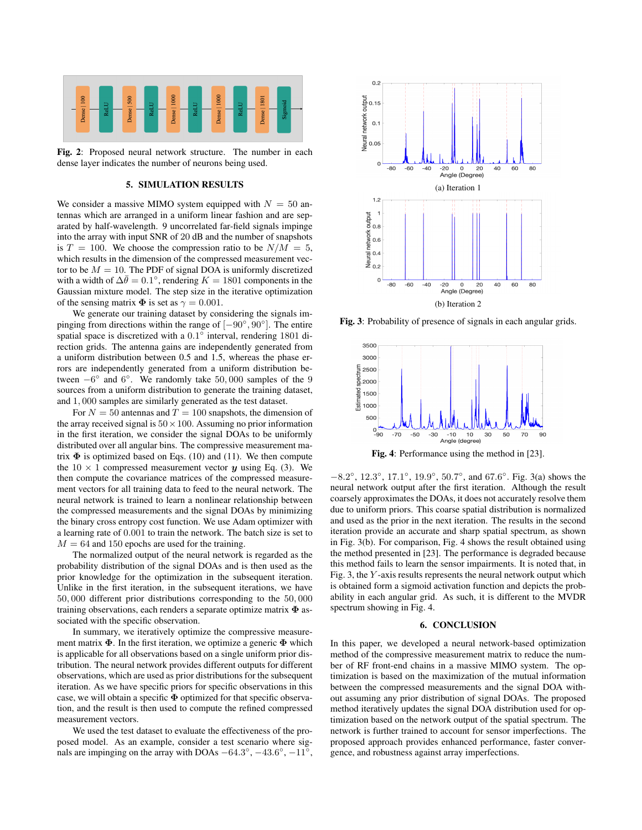

Fig. 2: Proposed neural network structure. The number in each dense layer indicates the number of neurons being used.

#### 5. SIMULATION RESULTS

We consider a massive MIMO system equipped with  $N = 50$  antennas which are arranged in a uniform linear fashion and are separated by half-wavelength. 9 uncorrelated far-field signals impinge into the array with input SNR of 20 dB and the number of snapshots is  $T = 100$ . We choose the compression ratio to be  $N/M = 5$ , which results in the dimension of the compressed measurement vector to be  $M = 10$ . The PDF of signal DOA is uniformly discretized with a width of  $\Delta \bar{\theta} = 0.1^{\circ}$ , rendering  $K = 1801$  components in the Gaussian mixture model. The step size in the iterative optimization of the sensing matrix  $\Phi$  is set as  $\gamma = 0.001$ .

We generate our training dataset by considering the signals impinging from directions within the range of  $[-90^{\circ}, 90^{\circ}]$ . The entire spatial space is discretized with a  $0.1^{\circ}$  interval, rendering 1801 direction grids. The antenna gains are independently generated from a uniform distribution between 0.5 and 1.5, whereas the phase errors are independently generated from a uniform distribution between  $-6^{\circ}$  and  $6^{\circ}$ . We randomly take 50,000 samples of the 9 sources from a uniform distribution to generate the training dataset, and 1, 000 samples are similarly generated as the test dataset.

For  $N = 50$  antennas and  $T = 100$  snapshots, the dimension of the array received signal is  $50 \times 100$ . Assuming no prior information in the first iteration, we consider the signal DOAs to be uniformly distributed over all angular bins. The compressive measurement matrix  $\Phi$  is optimized based on Eqs. (10) and (11). We then compute the  $10 \times 1$  compressed measurement vector y using Eq. (3). We then compute the covariance matrices of the compressed measurement vectors for all training data to feed to the neural network. The neural network is trained to learn a nonlinear relationship between the compressed measurements and the signal DOAs by minimizing the binary cross entropy cost function. We use Adam optimizer with a learning rate of 0.001 to train the network. The batch size is set to  $M = 64$  and 150 epochs are used for the training.

The normalized output of the neural network is regarded as the probability distribution of the signal DOAs and is then used as the prior knowledge for the optimization in the subsequent iteration. Unlike in the first iteration, in the subsequent iterations, we have 50, 000 different prior distributions corresponding to the 50, 000 training observations, each renders a separate optimize matrix  $\Phi$  associated with the specific observation.

In summary, we iteratively optimize the compressive measurement matrix  $\Phi$ . In the first iteration, we optimize a generic  $\Phi$  which is applicable for all observations based on a single uniform prior distribution. The neural network provides different outputs for different observations, which are used as prior distributions for the subsequent iteration. As we have specific priors for specific observations in this case, we will obtain a specific  $\Phi$  optimized for that specific observation, and the result is then used to compute the refined compressed measurement vectors.

We used the test dataset to evaluate the effectiveness of the proposed model. As an example, consider a test scenario where signals are impinging on the array with DOAs  $-64.3^{\circ}$ ,  $-43.6^{\circ}$ ,  $-11^{\circ}$ ,



Fig. 3: Probability of presence of signals in each angular grids.



Fig. 4: Performance using the method in [23].

 $-8.2^{\circ}$ ,  $12.3^{\circ}$ ,  $17.1^{\circ}$ ,  $19.9^{\circ}$ ,  $50.7^{\circ}$ , and  $67.6^{\circ}$ . Fig. 3(a) shows the neural network output after the first iteration. Although the result coarsely approximates the DOAs, it does not accurately resolve them due to uniform priors. This coarse spatial distribution is normalized and used as the prior in the next iteration. The results in the second iteration provide an accurate and sharp spatial spectrum, as shown in Fig. 3(b). For comparison, Fig. 4 shows the result obtained using the method presented in [23]. The performance is degraded because this method fails to learn the sensor impairments. It is noted that, in Fig. 3, the  $Y$ -axis results represents the neural network output which is obtained form a sigmoid activation function and depicts the probability in each angular grid. As such, it is different to the MVDR spectrum showing in Fig. 4.

#### 6. CONCLUSION

In this paper, we developed a neural network-based optimization method of the compressive measurement matrix to reduce the number of RF front-end chains in a massive MIMO system. The optimization is based on the maximization of the mutual information between the compressed measurements and the signal DOA without assuming any prior distribution of signal DOAs. The proposed method iteratively updates the signal DOA distribution used for optimization based on the network output of the spatial spectrum. The network is further trained to account for sensor imperfections. The proposed approach provides enhanced performance, faster convergence, and robustness against array imperfections.